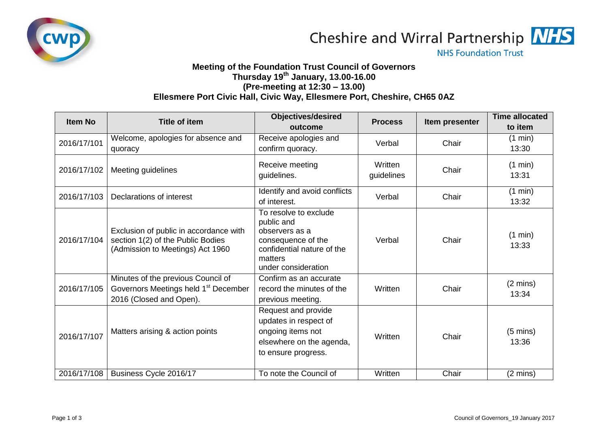

Cheshire and Wirral Partnership NHS

**NHS Foundation Trust** 

## **Meeting of the Foundation Trust Council of Governors Thursday 19th January, 13.00-16.00 (Pre-meeting at 12:30 – 13.00) Ellesmere Port Civic Hall, Civic Way, Ellesmere Port, Cheshire, CH65 0AZ**

| <b>Item No</b> | <b>Title of item</b>                                                                                              | <b>Objectives/desired</b>                                                                                                                   | <b>Process</b>        | Item presenter | <b>Time allocated</b>       |
|----------------|-------------------------------------------------------------------------------------------------------------------|---------------------------------------------------------------------------------------------------------------------------------------------|-----------------------|----------------|-----------------------------|
|                |                                                                                                                   | outcome                                                                                                                                     |                       |                | to item                     |
| 2016/17/101    | Welcome, apologies for absence and<br>quoracy                                                                     | Receive apologies and<br>confirm quoracy.                                                                                                   | Verbal                | Chair          | (1 min)<br>13:30            |
| 2016/17/102    | Meeting guidelines                                                                                                | Receive meeting<br>guidelines.                                                                                                              | Written<br>guidelines | Chair          | (1 min)<br>13:31            |
| 2016/17/103    | Declarations of interest                                                                                          | Identify and avoid conflicts<br>of interest.                                                                                                | Verbal                | Chair          | (1 min)<br>13:32            |
| 2016/17/104    | Exclusion of public in accordance with<br>section 1(2) of the Public Bodies<br>(Admission to Meetings) Act 1960   | To resolve to exclude<br>public and<br>observers as a<br>consequence of the<br>confidential nature of the<br>matters<br>under consideration | Verbal                | Chair          | (1 min)<br>13:33            |
| 2016/17/105    | Minutes of the previous Council of<br>Governors Meetings held 1 <sup>st</sup> December<br>2016 (Closed and Open). | Confirm as an accurate<br>record the minutes of the<br>previous meeting.                                                                    | Written               | Chair          | $(2 \text{ mins})$<br>13:34 |
| 2016/17/107    | Matters arising & action points                                                                                   | Request and provide<br>updates in respect of<br>ongoing items not<br>elsewhere on the agenda,<br>to ensure progress.                        | Written               | Chair          | $(5 \text{ mins})$<br>13:36 |
| 2016/17/108    | Business Cycle 2016/17                                                                                            | To note the Council of                                                                                                                      | Written               | Chair          | $(2 \text{ mins})$          |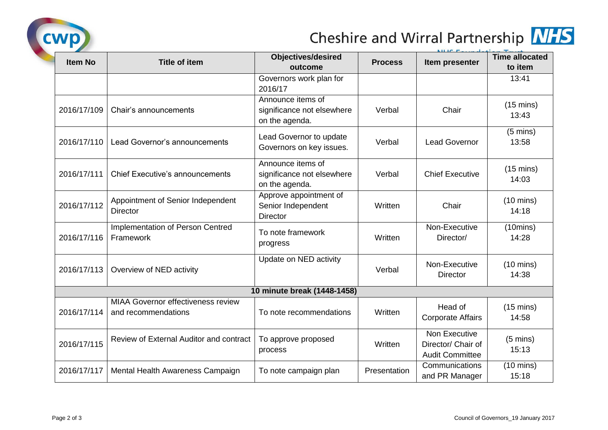

## Cheshire and Wirral Partnership MHS

|                |                                                                  | <b>Objectives/desired</b>                                         |                | NILIC F.                                                      | <b>Time allocated</b>        |
|----------------|------------------------------------------------------------------|-------------------------------------------------------------------|----------------|---------------------------------------------------------------|------------------------------|
| <b>Item No</b> | <b>Title of item</b>                                             | outcome                                                           | <b>Process</b> | Item presenter                                                | to item                      |
|                |                                                                  | Governors work plan for<br>2016/17                                |                |                                                               | 13:41                        |
| 2016/17/109    | Chair's announcements                                            | Announce items of<br>significance not elsewhere<br>on the agenda. | Verbal         | Chair                                                         | $(15 \text{ mins})$<br>13:43 |
| 2016/17/110    | Lead Governor's announcements                                    | Lead Governor to update<br>Governors on key issues.               | Verbal         | <b>Lead Governor</b>                                          | $(5 \text{ mins})$<br>13:58  |
| 2016/17/111    | <b>Chief Executive's announcements</b>                           | Announce items of<br>significance not elsewhere<br>on the agenda. | Verbal         | <b>Chief Executive</b>                                        | $(15 \text{ mins})$<br>14:03 |
| 2016/17/112    | Appointment of Senior Independent<br><b>Director</b>             | Approve appointment of<br>Senior Independent<br><b>Director</b>   | Written        | Chair                                                         | $(10 \text{ mins})$<br>14:18 |
| 2016/17/116    | Implementation of Person Centred<br>Framework                    | To note framework<br>progress                                     | Written        | Non-Executive<br>Director/                                    | (10 mins)<br>14:28           |
| 2016/17/113    | Overview of NED activity                                         | Update on NED activity                                            | Verbal         | Non-Executive<br><b>Director</b>                              | $(10 \text{ mins})$<br>14:38 |
|                |                                                                  | 10 minute break (1448-1458)                                       |                |                                                               |                              |
| 2016/17/114    | <b>MIAA Governor effectiveness review</b><br>and recommendations | To note recommendations                                           | Written        | Head of<br><b>Corporate Affairs</b>                           | $(15 \text{ mins})$<br>14:58 |
| 2016/17/115    | Review of External Auditor and contract                          | To approve proposed<br>process                                    | Written        | Non Executive<br>Director/ Chair of<br><b>Audit Committee</b> | $(5 \text{ mins})$<br>15:13  |
| 2016/17/117    | Mental Health Awareness Campaign                                 | To note campaign plan                                             | Presentation   | Communications<br>and PR Manager                              | $(10 \text{ mins})$<br>15:18 |